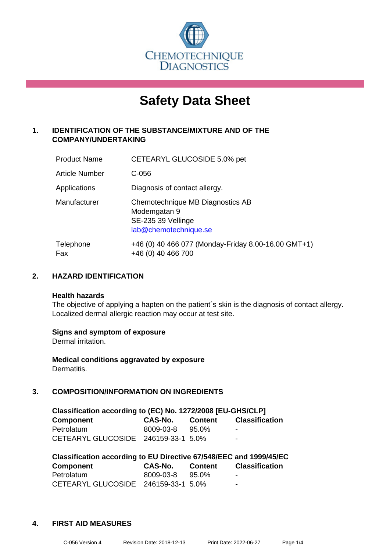

# **Safety Data Sheet**

# **1. IDENTIFICATION OF THE SUBSTANCE/MIXTURE AND OF THE COMPANY/UNDERTAKING**

| <b>Product Name</b>   | CETEARYL GLUCOSIDE 5.0% pet                                                                     |
|-----------------------|-------------------------------------------------------------------------------------------------|
| <b>Article Number</b> | C-056                                                                                           |
| Applications          | Diagnosis of contact allergy.                                                                   |
| Manufacturer          | Chemotechnique MB Diagnostics AB<br>Modemgatan 9<br>SE-235 39 Vellinge<br>lab@chemotechnique.se |
| Telephone<br>Fax      | +46 (0) 40 466 077 (Monday-Friday 8.00-16.00 GMT+1)<br>+46 (0) 40 466 700                       |

# **2. HAZARD IDENTIFICATION**

#### **Health hazards**

The objective of applying a hapten on the patient's skin is the diagnosis of contact allergy. Localized dermal allergic reaction may occur at test site.

## **Signs and symptom of exposure**

Dermal irritation.

**Medical conditions aggravated by exposure** Dermatitis.

# **3. COMPOSITION/INFORMATION ON INGREDIENTS**

| Classification according to (EC) No. 1272/2008 [EU-GHS/CLP] |           |         |                |  |  |
|-------------------------------------------------------------|-----------|---------|----------------|--|--|
| <b>Component</b>                                            | CAS-No.   | Content | Classification |  |  |
| Petrolatum                                                  | 8009-03-8 | 95.0%   | $\blacksquare$ |  |  |
| CETEARYL GLUCOSIDE 246159-33-1 5.0%                         |           |         | $\blacksquare$ |  |  |

| Classification according to EU Directive 67/548/EEC and 1999/45/EC |           |         |                |  |  |
|--------------------------------------------------------------------|-----------|---------|----------------|--|--|
| Component                                                          | CAS-No.   | Content | Classification |  |  |
| Petrolatum                                                         | 8009-03-8 | 95.0%   | -              |  |  |
| CETEARYL GLUCOSIDE 246159-33-1 5.0%                                |           |         | -              |  |  |

#### **4. FIRST AID MEASURES**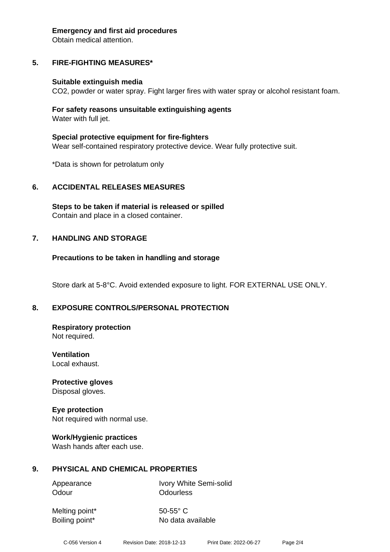#### **Emergency and first aid procedures**

Obtain medical attention.

# **5. FIRE-FIGHTING MEASURES\***

#### **Suitable extinguish media**

CO2, powder or water spray. Fight larger fires with water spray or alcohol resistant foam.

#### **For safety reasons unsuitable extinguishing agents** Water with full jet.

**Special protective equipment for fire-fighters** Wear self-contained respiratory protective device. Wear fully protective suit.

\*Data is shown for petrolatum only

# **6. ACCIDENTAL RELEASES MEASURES**

**Steps to be taken if material is released or spilled** Contain and place in a closed container.

## **7. HANDLING AND STORAGE**

## **Precautions to be taken in handling and storage**

Store dark at 5-8°C. Avoid extended exposure to light. FOR EXTERNAL USE ONLY.

## **8. EXPOSURE CONTROLS/PERSONAL PROTECTION**

#### **Respiratory protection** Not required.

**Ventilation** Local exhaust.

**Protective gloves** Disposal gloves.

## **Eye protection** Not required with normal use.

# **Work/Hygienic practices**

Wash hands after each use.

## **9. PHYSICAL AND CHEMICAL PROPERTIES**

Odour **Odourless** 

Appearance Ivory White Semi-solid

Melting point\* 50-55° C

Boiling point\* No data available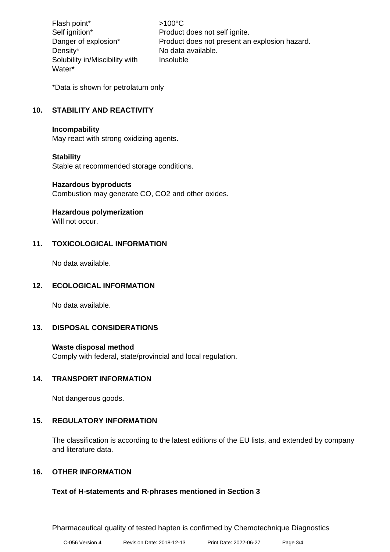Flash point\* >100°C Density\* No data available. Solubility in/Miscibility with Water\*

Self ignition\* Product does not self ignite. Danger of explosion\* Product does not present an explosion hazard. Insoluble

\*Data is shown for petrolatum only

# **10. STABILITY AND REACTIVITY**

## **Incompability**

May react with strong oxidizing agents.

## **Stability**

Stable at recommended storage conditions.

#### **Hazardous byproducts**

Combustion may generate CO, CO2 and other oxides.

## **Hazardous polymerization**

Will not occur.

# **11. TOXICOLOGICAL INFORMATION**

No data available.

## **12. ECOLOGICAL INFORMATION**

No data available.

## **13. DISPOSAL CONSIDERATIONS**

## **Waste disposal method**

Comply with federal, state/provincial and local regulation.

## **14. TRANSPORT INFORMATION**

Not dangerous goods.

## **15. REGULATORY INFORMATION**

The classification is according to the latest editions of the EU lists, and extended by company and literature data.

## **16. OTHER INFORMATION**

## **Text of H-statements and R-phrases mentioned in Section 3**

Pharmaceutical quality of tested hapten is confirmed by Chemotechnique Diagnostics